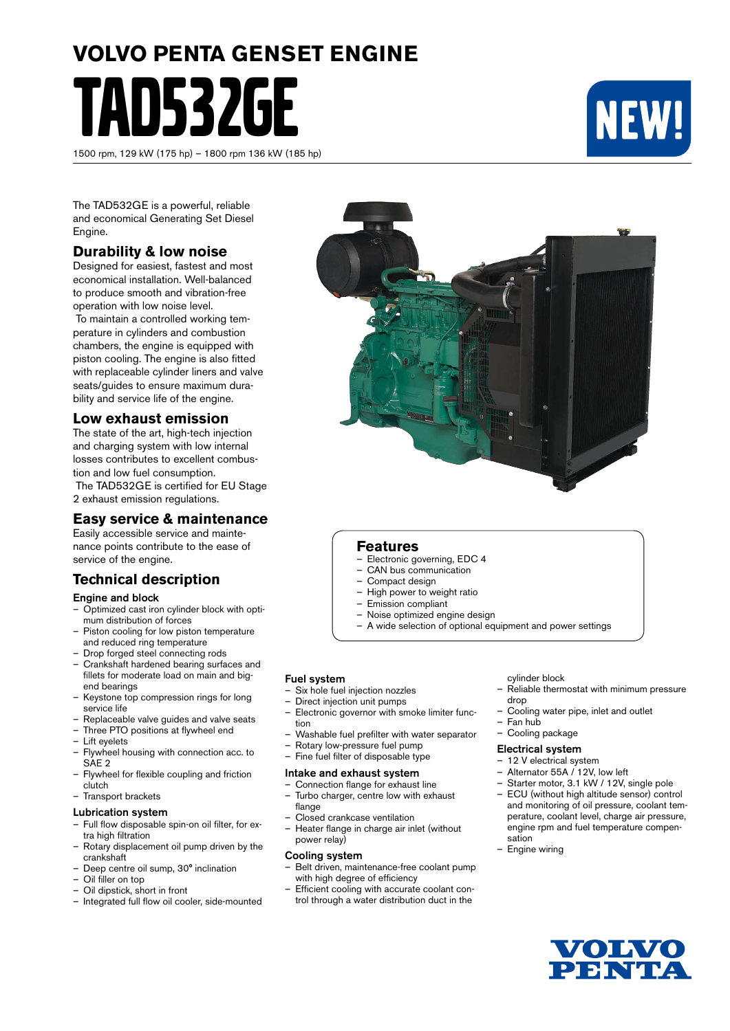# **VOLVO PENTA GENSET ENGINE** TAD532GE

1500 rpm, 129 kW (175 hp) – 1800 rpm 136 kW (185 hp)



The TAD532GE is a powerful, reliable and economical Generating Set Diesel Engine.

#### **Durability & low noise**

Designed for easiest, fastest and most economical installation. Well-balanced to produce smooth and vibration-free operation with low noise level.

 To maintain a controlled working temperature in cylinders and combustion chambers, the engine is equipped with piston cooling. The engine is also fitted with replaceable cylinder liners and valve seats/quides to ensure maximum durability and service life of the engine.

#### **Low exhaust emission**

The state of the art, high-tech injection and charging system with low internal losses contributes to excellent combustion and low fuel consumption.

 The TAD532GE is certified for EU Stage 2 exhaust emission regulations.

#### **Easy service & maintenance**

Easily accessible service and maintenance points contribute to the ease of service of the engine.

### **Technical description**

#### Engine and block

- Optimized cast iron cylinder block with optimum distribution of forces
- Piston cooling for low piston temperature and reduced ring temperature
- Drop forged steel connecting rods
- Crankshaft hardened bearing surfaces and fillets for moderate load on main and bigend bearings
- Keystone top compression rings for long service life
- Replaceable valve guides and valve seats
- Three PTO positions at flywheel end
- Lift eyelets
- Flywheel housing with connection acc. to SAE<sub>2</sub>
- Flywheel for flexible coupling and friction clutch
- Transport brackets

#### Lubrication system

- Full flow disposable spin-on oil filter, for extra high filtration
- Rotary displacement oil pump driven by the crankshaft
- Deep centre oil sump, 30° inclination
- Oil filler on top
- Oil dipstick, short in front
- Integrated full flow oil cooler, side-mounted

#### **Features**

- Electronic governing, EDC 4
- CAN bus communication
- Compact design
- High power to weight ratio
- Emission compliant
- Noise optimized engine design
- A wide selection of optional equipment and power settings

#### Fuel system

- Six hole fuel injection nozzles
- Direct injection unit pumps
- Electronic governor with smoke limiter function
- Washable fuel prefilter with water separator
- Rotary low-pressure fuel pump
- Fine fuel filter of disposable type

#### Intake and exhaust system

- Connection flange for exhaust line – Turbo charger, centre low with exhaust flange
- Closed crankcase ventilation
- Heater flange in charge air inlet (without power relay)

#### Cooling system

- Belt driven, maintenance-free coolant pump with high degree of efficiency
- Efficient cooling with accurate coolant control through a water distribution duct in the

#### cylinder block

- Reliable thermostat with minimum pressure drop
- Cooling water pipe, inlet and outlet
- Fan hub – Cooling package
- 

#### Electrical system

- 12 V electrical system
- Alternator 55A / 12V, low left
- Starter motor, 3.1 kW / 12V, single pole
- ECU (without high altitude sensor) control and monitoring of oil pressure, coolant temperature, coolant level, charge air pressure, engine rpm and fuel temperature compensation
- Engine wiring